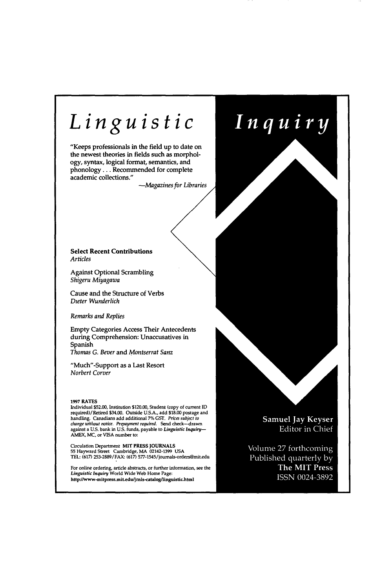## *Linguist*  Inquiry "Keeps professionals in the field up to date on the newest theories in fields such as morphology, syntax, logical format, semantics, and phonology . . . Recommended for complete academic collections." -Magazines for Libraries **Select Recent Contributions**  *Articles*  Against Optional Scrambling *Shigeru Miyagawa*  Cause and the Structure of Verbs *Dzeter Wunderlich Remarks and Replies*  Empty Categories Access Their An during Comprehension: Unaccusat Spanish *Thomas G. Bever and Montserrat Sanz* "Much"-Support as a Last Resort *Norbert Corver*  1997 RATES Individual \$52.00, Institution \$120.00, Student (copy of current ID required)/Retired \$34.00. Outside U.S.A., add \$1<br>handling. Canadians add additional 7% GST. Pr **Samuel Jay Keyser** *change without notice. Prepayment required.* Send check--drawn Editor in Chief against a U.S. bank in U.S. funds, payable to *Linguistic Inquiry*-AMEX, MC, or VISA number **to:**  Circulation Department MIT PRESS JOURNA 55 Hayward Street Cambridge, MA 02142-139 Volume 27 forthcoming TEL: (617) 253-2889/FAX: (617) 577-1545/journals-orders@mit.edu

For online ordering, article abstracts, or further ir<br>*Linguistic Inquiry* World Wide Web Home Page: http://www-mitpress.mit.edu/jrnls-catalog/linguistic.html

Published quarterly by **The MIT Press** ISSN 0024-3892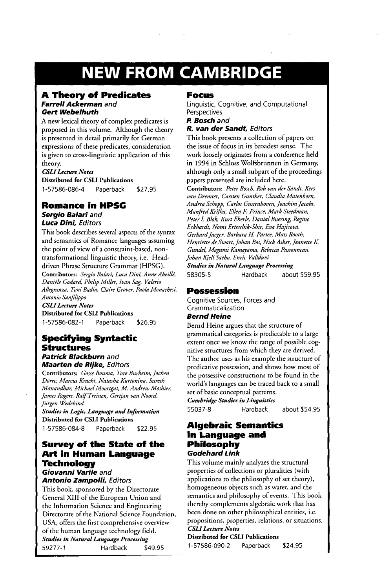# **NEW FROM CAMBRIDGE**

#### **A Theory of Predicates**  *Farrell Ackerman* **and Gert** *Webelhuth*

A new lexical theory of complex predicates is proposed in this volume. Although the theory is presented in detail primarily for German expressions of these predicates, consideration is given to cross-linguistic application of this theory.

## *CSLI Lecture Notes*

**Distributed for CSLI Publications**  1-57586-086-4 Paperback \$27.95

## **Romance in HPSG**  *Sergio Balari* **and**  *Luca Dini, Editors*

This book describes several aspects of the syntax and semantics of Romance languages assuming the point of view of a constraint-based, nontransformational linguistic theory, i.e. Headdriven Phrase Structure Grammar (HPSG). **Contributors:** *Sergio Balari, Luca Dini, Anne Abeille, Dani?le Godard, Philip Miller, Ivan Sag, Valerio Allegranza, Toni Badia, Claire Grover, Paola Monachesi,* 

*Antonio Sanfilippo* 

*CSLI Lecture Notes*  **Distributed for CSLI Publications** 

1-57586-082-1 Paperback \$26.95

## **Specifying Syntactic Structures**

*Patrick Blackburn* **and**  *Maarten de Rijke, Ed/tors* 

**Contributors:** *Gosse Bouma, Tore Burheim, Jochen D#rre, Marcus Kracht, Natasha Kurtonina, Suresh Manandhar, Michael Moortgat, M. Andrew Moshier, James Rogers, Ralf Treinen, Gertjan van Noord, Jiirgen Wedekind* 

*Studies in Logic, Language and Information*  **Distributed for CSLI Publications** 

1-57586-084-8 Paperback \$22.95

## **Survey of the State of the Art in Human Language Technology**  *Giovanni Varile* **and**

*Antonio Zampolli, Editors* 

This book, sponsored by the Directorate General XIII of the European Union and the Information Science and Engineering Directorate of the National Science Foundation, USA, offers the first comprehensive overview of the human language technology field. *Studies in Natural Language Processing*  59277-I Hardback \$49.95

## **Focus**

Linguistic, Cognitive, and Computational **Perspectives** 

*P. Bosch* and

### *R. van der Sandt, Editors*

This book presents a collection of papers on the issue of focus in its broadest sense. The work loosely originates from a conference held in 1994 in Schloss Wolfsbrunnen in Germany, although only a small subpart of the proceedings papers presented are included here.

**Contributors:** *Peter Bosch, Rob van der Sandt, Kees van Deemter, Carsten Gunther, Claudia Maienborn, Andrea Schopp, Carlos Gussenhoven, Joachim Jacobs, Manjged Krifi, a, Ellen F. Prince, Mark Steedman, Peter L Blok, Kurt Eberle, Danial Burring, Regine Eckhardt, Nomi Erteschik-Shir, Eva Hajicova, Gerhard Jaeger, Barbara H. Patter, Mats Rooth, Henriette de Swart, Johan Bos, Nick Asher, Jeanette K Gundel, Megumi Kameyama, Rebecca Passonneau, Johan Kjell Saebo, Enric Vallduvi* 

*Studies in Natural Language Processing*  58305-5 Hardback about \$59.95

## **Possession**

Cognitive Sources, Forces and **Grammaticalization** 

## *Bernd Heine*

Bernd Heine argues that the structure of grammatical categories is predictable to a large extent once we know the range of possible cognitive structures from which they are derived. The author uses as his example the structure of predicative possession, and shows how most of the possessive constructions to be found in the world's languages can be traced back to a small set of basic conceptual patterns. *Cambridge Studies in Linguistics* 

## 55037-8 Hardback about \$54.95

## **Algebraic Semantics in Language and Philosophy**  *Godehard Link*

This volume mainly analyzes the structural properties of collections or pluralities (with applications to the philosophy of set theory), homogeneous objects such as water, and the semantics and philosophy of events. This book thereby complements algebraic work that has been done on other philosophical entities, i.e. propositions, properties, relations, or situations. *CSLI Lecture Notes* 

**Distributed for CSLI Publications**  1-57586-090-2 Paperback \$24.95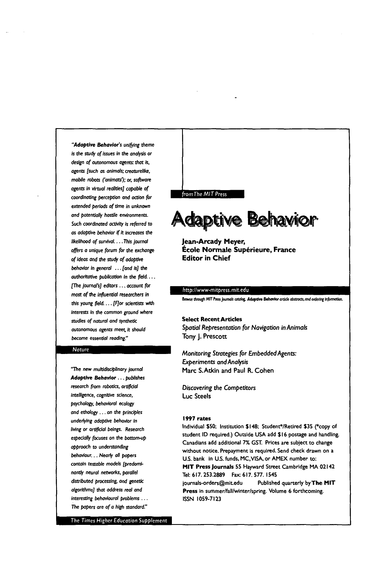*"Adaptive Behovior's unifying theme is the study of issues in the analysis or design of autonomous agents: that is,*   $agents$  [such as animals; creaturelike, *mobile robots ('animats');* or, *sol,ware agents in virtual realities] capable of*  coordinating perception and action for *extended periods* of time in unknown *and potentially hostile* environments. Such *coordinated activity is* referred to *as adaptive behavior if it increases the likelihood of survival.... This journal*  offers *a unique* forum for the *exchange of ideas and the study of edaptive*  behov/or in general ... *[and is] the*  authoritative *publication in the field* ... *[The journal's] editors.,, occouat for most of the influential researchers in*  this young field. . . . [F]or scientists with *interests in the* common *ground* where studies of natural and synthetic *autonomous agents meet. it should*  become *essential reading."* 

#### *latun*

"The new *multidisciplinary journal Adaptive Behavior.., publishes research from robotics, ortipcial*  intelligence, cognitive science, psycho/ogy, *behavioral ecology and ethology..,* on the *principles underlying adaptive* behavior in *living or artificial beings. Research especially focuses on the bottom-up approach to understanding*  behaviour... *Nearly all papers contain testable models [predoml*nantly neural networks, parallel *distributed processing~* and genetic *algorithms] that address real and interesting behavioural problems* ... The papers are *of a high standard."* 

The Times Higher Education Supplement

#### from The MIT Press

**Adaptive Behavior** 

**Jean-Arcady Meyer, École Normale Supérieure, France Editor in Chief** 

#### *ttp://www-mitpress.mit.edt*

Browse through MIT Press Journals catalog, Adaptive Behavior article abstracts, and ordering information.

#### Select Recent Articles *Spatial Representation* for *Navigation in Animals*  Tony J. Prescott

*Monitoring Strategies for Embedded Agents: Experiments and Analysis*  Marc S.Atkin and Paul R. Cohen

**Discovering the Competitors** Luc Steels

#### **1997** rates

Individual \$50; Institution \$148; Student\*/Retired \$35 (\*copy of student ID required.) Outside USA add \$16 postage and handling. Canadians add additional 7% GST. Prices are subject to change without notice. Prepayment is required, Send check drawn on a U.S. bank in U.S. funds, MC,VISA, or AMEX number to: MIT Press Journals 55 Hayward Street Cambridge HA 02142 Tel: 617. 253.2889 Fax: 617. 577. 1545 journals-orders@mit.edu Published quarterly by The MIT Press in summer/fall/winter/spring. Volume 6 forthcoming. ISSN 1059-7123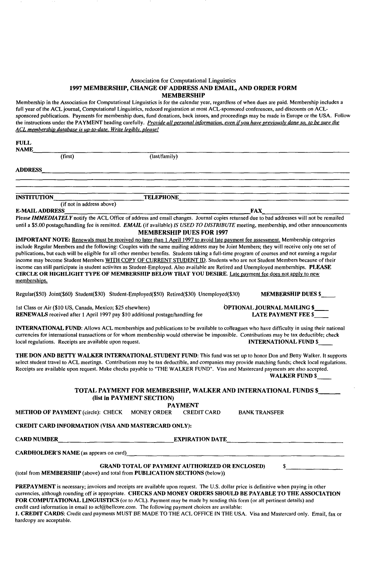#### Association for Computational Linguistics 1997 MEMBERSHIP, CHANGE OF ADDRESS AND EMAIL, AND ORDER FORM MEMBERSHIP

Membership in the Association for Computational Linguistics is for the calendar year, regardless of when dues are paid. Membership includes a full year of the ACL journal, Computational Linguistics, reduced registration at most ACL-sponsored conferences, and discounts on ACLsponsored publications. Payments for membership dues, fund donations, back issues, and proceedings may be made in Europe or the USA. Follow the instructions under the PAYMENT heading carefully. *Provide all personal information, even if you have previously done so, to be sure Ihe ACL membershio database is uo-to-date. Write legibly, olease!* 

| <b>FULL</b><br><b>NAME</b>                                                                                                                      |                           |                  |                                                                                                                                      |  |  |  |  |
|-------------------------------------------------------------------------------------------------------------------------------------------------|---------------------------|------------------|--------------------------------------------------------------------------------------------------------------------------------------|--|--|--|--|
|                                                                                                                                                 | (first)                   | (last/family)    |                                                                                                                                      |  |  |  |  |
| <b>ADDRESS</b>                                                                                                                                  |                           |                  |                                                                                                                                      |  |  |  |  |
|                                                                                                                                                 |                           |                  |                                                                                                                                      |  |  |  |  |
| <b>INSTITUTION</b>                                                                                                                              |                           | <b>TELEPHONE</b> |                                                                                                                                      |  |  |  |  |
|                                                                                                                                                 | (if not in address above) |                  |                                                                                                                                      |  |  |  |  |
| <b>E-MAIL ADDRESS</b><br><b>FAX</b>                                                                                                             |                           |                  |                                                                                                                                      |  |  |  |  |
| Please IMMEDIATELY notify the ACL Office of address and email changes. Journal copies returned due to bad addresses will not be remailed        |                           |                  |                                                                                                                                      |  |  |  |  |
| until a \$5.00 postage/handling fee is remitted. EMAIL (if available) IS USED TO DISTRIBUTE meeting, membership, and other announcements        |                           |                  |                                                                                                                                      |  |  |  |  |
| <b>MEMBERSHIP DUES FOR 1997</b>                                                                                                                 |                           |                  |                                                                                                                                      |  |  |  |  |
| <b>IMPORTANT NOTE:</b> Renewals must be received no later than 1 April 1997 to avoid late payment fee assessment. Membership categories         |                           |                  |                                                                                                                                      |  |  |  |  |
| include Regular Members and the following: Couples with the same mailing address may be Joint Members; they will receive only one set of        |                           |                  |                                                                                                                                      |  |  |  |  |
| publications, but each will be eligible for all other member benefits. Students taking a full-time program of courses and not earning a regular |                           |                  |                                                                                                                                      |  |  |  |  |
|                                                                                                                                                 |                           |                  | income may become Student Members WITH COPY OF CURRENT STUDENT ID. Students who are not Student Members because of their             |  |  |  |  |
|                                                                                                                                                 |                           |                  | income can still participate in student activites as Student-Employed. Also available are Retired and Unemployed memberships. PLEASE |  |  |  |  |
|                                                                                                                                                 |                           |                  | CIRCLE OR HIGHLIGHT TYPE OF MEMBERSHIP BELOW THAT YOU DESIRE. Late payment fee does not apply to new                                 |  |  |  |  |
| memberships.                                                                                                                                    |                           |                  |                                                                                                                                      |  |  |  |  |

Regular(\$50) Joint(\$60) Student(\$30) Student-Employed(\$50) Retired(\$30) Unemployed(\$30) MEMBERSHIP DUES \$

1 st Class or Air (\$10 US, Canada, Mexico; \$25 elsewhere) **OPTIONAL JOURNAL MAILING \$**<br>**RENEWALS** received after 1 April 1997 pay \$10 additional postage/handling fee **LATE PAYMENT FEE \$** 

RENEWALS received after 1 April 1997 pay \$10 additional postage/handling fee

INTERNATIONAL FUND: Allows ACL memberships and publications to be available to colleagues who have difficulty in using their national currencies for international transactions or for whom membership would otherwise be impossible. Contributions may be tax deductible; check local regulations. Receipts are available upon request. local regulations. Receipts are available upon request.

THE DON AND BETTY WALKER INTERNATIONAL STUDENT FUND: This fund was set up to honor Don and Betty Walker. It supports select student travel to ACL meetings. Contributions may be tax deductible, and companies may provide matching funds; check local regulations. Receipts are available upon request. Make checks payable to "THE WALKER FUND". Visa and Mastercard payments are also accepted.

WALKER FUND \$

#### TOTAL PAYMENT FOR MEMBERSHIP, WALKER AND INTERNATIONAL FUNDS \$ (list in PAYMENT SECTION)

**PAYMENT**<br>ER CREDIT CARD

METHOD OF PAYMENT (circle): CHECK MONEY ORDER CREDIT CARD BANK TRANSFER

#### CREDIT CARD INFORMATION (VISA AND MASTERCARD ONLY):

CARD NUMBER EXPIRATION DATE

CARDHOLDER'S NAME (as appears on card)

GRAND TOTAL OF PAYMENT AUTHORIZED OR ENCLOSED) \$ (total from MEMBERSHIP (above) and total from PUBLICATION SECTIONS (below))

PREPAYMENT is necessary; invoices and receipts are available upon request. The U.S. dollar price is definitive when paying in other currencies, although rounding off is appropriate. CHECKS AND MONEY ORDERS SHOULD BE PAYABLE TO THE ASSOCIATION FOR COMPUTATIONAL LINGUISTICS (or to ACL). Payment may be made by sending this form (or all pertinent details) and credit card information in email to acl@bellcore.com. The following payment choices are available:

1. CREDIT CARDS: Credit card payments MUST BE MADE TO THE ACL OFFICE IN THE USA. Visa and Mastercard only. Email, fax or hardcopy are acceptable.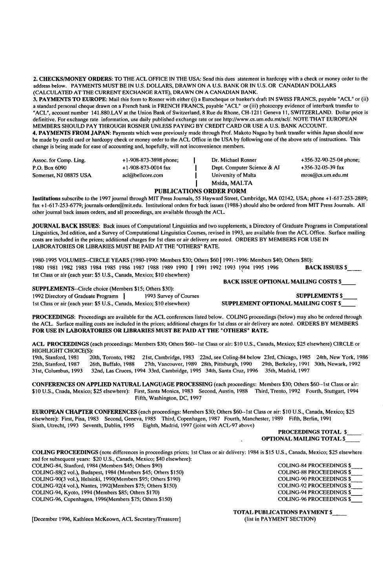**2. CHECKS/MONEY ORDERS:** TO THE ACL OFFICE IN THE USA: Send this dues statement in hardcopy with a check or money order to the address below. PAYMENTS MUST BE IN U.S. DOLLARS, DRAWN ON A U.S. BANK OR IN U.S. OR CANADIAN DOLLARS (CALCULATED AT THE CURRENT EXCHANGE RATE), DRAWN ON A CANADIAN BANK.

**3. PAYMENTS TO EUROPE:** Mail this form to Rosner with either (i) a Eurocheque or banker's draft IN SWISS FRANCS, payable "ACL" or (ii) a standard personal cheque drawn on a French bank in FRENCH FRANCS, payable "ACL" or (iii) photocopy evidence of interbank transfer to "ACL", account number 141.880.LAV at the Union Bank of Switzerland, 8 Rue du Rhone, CH-1211 Geneva 11, SWITZERLAND. Dollar price is definitive. For exchange rate information, use daily published exchange rate or see http://www.cs.um.edu.mt/acl/. NOTE THAT EUROPEAN MEMBERS SHOULD PAY THROUGH ROSNER UNLESS PAYING BY CREDIT CARD OR USE A U.S. BANK ACCOUNT.

**4. PAYMENTS FROM JAPAN:** Payments which were previously made through Prof. Makoto Nagso by bank transfer within Japan should now be made by credit card or hardcopy check or money order to the ACL Office in the USA by following one of the above sets of instructions. This change is being made for ease of accounting and, hopefully, will not inconvenience members.

| Assoc. for Comp. Ling. | $+1-908-873-3898$ phone; | Dr. Michael Rosner          | $+356 - 32 - 90 - 25 - 04$ phone; |
|------------------------|--------------------------|-----------------------------|-----------------------------------|
| P.O. Box 6090          | $+1-908-873-0014$ fax    | Dept. Computer Science & AI | +356-32-05-39 fax                 |
| Somerset, NJ 08875 USA | acl@bellcore.com         | University of Malta         | $mros@cs.$ um.edu.mt              |
|                        |                          | Msida, MALTA                |                                   |

#### **PUBLICATIONS ORDER FORM**

Institutions subscribe to the 1997 journal through MIT Press Journals, 55 Hayward Street, Cambridge, MA 02142, USA; phone +1-617-253-2889; fax +1-617-253-6779; journals-orders@mit.edu. Institutional orders for back issues (1988-) should also be ordered from MIT Press Journals. All other journal back issues orders, and all proceedings, are available through the ACL.

JOURNAL BACK ISSUES: Back issues of Computational Linguistics and two supplements, a Directory of Graduate Programs in Computational Linguistics, 3rd edition, and a Survey of Computational Linguistics Courses, revised in 1993, are available from the ACL Office. Surface mailing costs are included in the prices; additional charges for 1st class or air delivery are noted. ORDERS BY MEMBERS FOR USE IN LABORATORIES OR LIBRARIES MUST BE PAID AT THE "OTHERS" RATE.

1980-1995 VOLUMES--CIRCLE YEARS (1980-1990: Members \$30; Others \$60 [ 1991-1996: Members \$40; Others \$80): 1980 1981 1982 1983 1984 1985 1986 1987 1988 1989 1990 [ 1991 1992 1993 1994 1995 1996 **BACK ISSUES \$**  1st Class or air (each year: \$5 U.S., Canada, Mexico; \$10 elsewhere) **BACK** ISSUE OPTIONAL MAILING COSTS \$

SUPPLEMENTS--Circle choice (Members \$15; Others \$30): 1992 Directory of Graduate Programs  $\frac{1}{2}$  1993 Survey of Courses SUPPLEMENTS \$ 1st Class or air (each year: \$5 U.S., Canada, Mexico; \$10 elsewhere) SUPPLEMENT OPTIONAL MAILING COST \$

**PROCEEDINGS:** Proceedings are available for the ACL conferences listed below. COLING proceedings (below) may also be ordered through the ACL. Surface mailing costs are included in the prices; additional charges for 1st class or air delivery are noted. ORDERS BY MEMBERS **FOR** USE IN LABORATORIES OR LIBRARIES MUST BE PAID AT THE "OTHERS" RATE.

**ACL PROCEEDINGS** (each proceedings: Members \$30; Others \$60--lst Class or air: \$10 U.S., Canada, Mexico; \$25 elsewhere) CIRCLE or

HIGHLIGHT CHOICE(S):<br>19th, Stanford, 1981 20 20th, Toronto, 1982 21st, Cambridge, 1983 22nd, see Coling-84 below 23rd, Chicago, 1985 24th, New York, 1986<br>26th, Buffalo, 1988 27th, Vancouver, 1989 28th, Pittsburgh, 1990 29th, Berkeley, 1991 30th, Newark, 1992 25th, Stanford, 1987 26th, Buffalo, 1988 27th, Vancouver, 1989 28th, Pittsburgh, 1990<br>31st, Columbus, 1993 32nd, Las Cruces, 1994 33rd, Cambridge, 1995 34th, Santa Cruz, 199 32nd, Las Cruces, 1994 33rd, Cambridge, 1995 34th, Santa Cruz, 1996 35th, Madrid, 1997

CONFERENCES ON APPLIED NATURAL **LANGUAGE PROCESSING** (each proceedings: Members \$30; Others \$60--lst Class or air: \$10 U.S., Cnada, Mexico; \$25 elsewhere): First, Santa Monica, 1983 Second, Austin, 1988 Third, Trento, 1992 Fourth, Stuttgart, 1994 Fifth, Washington, DC, 1997

EUROPEAN CHAPTER CONFERENCES (each proceedings: Members \$30; Others \$60--Ist Class or air: \$10 U.S., Canada, Mexico; \$25 elsewhere): First, Pisa, 1983 Second, Geneva, 1985 Third, Copenhagen, 1987 Fourth, Manchester, 1989 Fifth, Berlin, 1991 Sixth, Utrecht, 1993 Seventh, Dublin, 1995 Eighth, Madrid, 1997 (joint with ACL-97 above)

#### **PROCEEDINGS** TOTAL \$ OPTIONAL MAILING TOTAL \$

COLING PROCEEDINGS (note differences in proceedings prices; 1st Class or air delivery: 1984 is \$15 U.S., Canada, Mexico; \$25 elsewhere and for subsequent years: \$20 U.S., Canada, Mexico; \$40 elsewhere): COLING-84, Stanford, 1984 (Members \$45; Others \$90)<br>
COLING-88(2 vol.), Budapest, 1984 (Members \$45; Others \$150) COLING-88 PROCEEDINGS \$ COLING-88(2 vol.), Budapest, 1984 (Members \$45; Others \$150)<br>
COLING-90(3 vol.), Helsinki, 1990(Members \$95: Others \$190)<br>
COLING-90(3 vol.), Helsinki, 1990(Members \$95: Others \$190)  $COLING-90(3 vol.)$ , Helsinki, 1990(Members \$95; Others \$190) COLING-92(4 vol.), Nantes, 1992(Members \$75; Others \$150) COLING-92 PROCEEDINGS \$<br>COLING-94, Kyoto, 1994 (Members \$85; Others \$170) COLING-94 PROCEEDINGS \$ COLING-94, Kyoto, 1994 (Members \$85; Others \$170)<br>
COLING-96, Copenhagen, 1996(Members \$75; Others \$150) COLING-96 PROCEEDINGS \$ COLING-96, Copenhagen, 1996(Members \$75; Others \$150)

TOTAL PUBLICATIONS PAYMENT \$

[December 1996, Kathleen McKeown, ACL Secretary/Treasurer] (list in PAYMENT SECTION)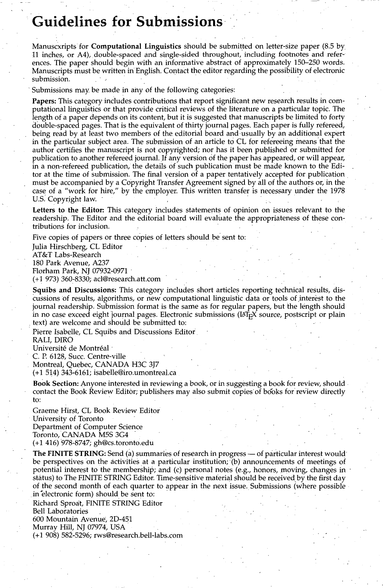## **Guidelines for Submissions-**

Manuscxripts for **Computational Linguistics** should be submitted on letter-size paper (8.5 by. 11 inches, or A4), double-spaced and single-sided throughout, including footnotes and references. The paper should begin with an informative abstract of approximately 150-250 words. Manuscripts must be written in English. Contact the editor regarding the possibility of electronic submission.

Submissions may be made in any of the following categories:

Papers: This category includes contributions that report significant new research results in computational linguistics or that provide critical reviews of the literature on a particular topic. The length of a paper depends on its content, but it is suggested that manuscripts be limited to forty double-spaced pages. That is the equivalent of thirty journal pages. Each paper is fully refereed, being read by at least two members of the editorial board and usually by an additional expert in the particular subject area. The submission of an article to CL for refereeing means that the author certifies the manuscript is not copyrighted; nor has it been published or submitted for publication to another refereed journal. If any version of the paper has appeared, or will appear, in a non-refereed publication, the details of such publication must be made known to the Editor at the time of submission. The final version of a paper tentatively accepted for publication must be accompanied by a Copyright Transfer Agreement signed by all of the authors or, in the case of a "work for hire," by the employer. This written transfer is necessary under the 1978 U.S. Copyright law.

**Letters to the Editor:** This category includes statements of opinion on issues relevant to the readership. The Editor and the editorial board will evaluate the appropriateness of these contributions for inclusion.

Five copies of papers or three copies of letters should be sent to:

Julia Hirschberg, CL Editor AT&T Labs-Research 180 Park Avenue, A237 Florham Park, NJ 07932-0971 - (+! 973) 360-8330; acl@research.att.com

**Squibs and Discussions:** This category includes short articles reporting technical results, discussions of results, algorithms, or new computational linguistic data or tools of interest to the journal readership. Submission format is the same as for regular papers, but the length should in no case exceed eight journal pages. Electronic submissions ( $[4T<sub>F</sub>]X$  source, postscript or plain • text) are welcome and should be submitted to:

Pierre Isabelle, CL Squibs and Discussions Editor

RALI, DIRO

Université de Montréal <sup>.</sup>

C. P. 6128, Succ. Centre-ville

Montreal, Quebec, CANADA H3C 3J7 **(+1** 5!4)343-6161; isabelle@iro:umontreal.ca

**Book Section:** Anyone interested in reviewing a book, or in suggesting a book for review, should contact the Book Review Editor; publishers may also submit copies of books for review directly to:

Graeme Hirst, CL Book Review Editor University of Toronto Department of Computer Science Toronto, CANADA MSS 3G4 (+1 416) 978-8747; gh@cs.toronto.edu

**The FINITE STRING:** Send (a) summaries of research in progress — of particular interest would be perspectives on the activities at a particular institution; (b) announcements of meetings of potential interest to the membership; and (c) personal notes (e.g., honors, moving, changes in " status) to The FINITE STRING Editor. Time-sensitive material should be received by the first day of the second month of each quarter to appear in the next issue. Submissions (where possible in electronic form) should be sent to:

Richard Sproat, FINITE STRING Editor Bell Laboratories 600 Mountain Avenue, 2D-451 Murray Hill, NJ 07974, USA (+1 908) 582-5296; rws@research.bell-labs.com